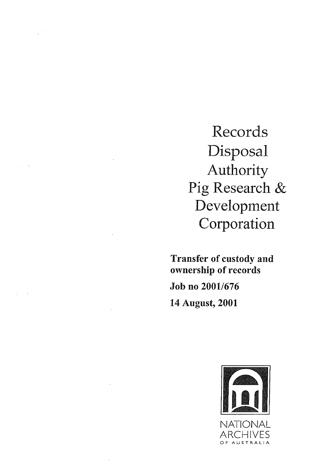Records Disposal Authority Pig Research & Development Corporation

 $\sim$ 

 $\frac{1}{2} \frac{1}{2} \frac{d^2 \theta}{d^2}$ 

 $\mathbf{E} = \sum_{i=1}^n \mathbf{E}_i \mathbf{E}_i \mathbf{E}_i \mathbf{E}_i$ 

 $\mathcal{A}$ 

 $\bar{z}$ 

Transfer of custody and ownership of records Job no 2001/676 14 August, 2001

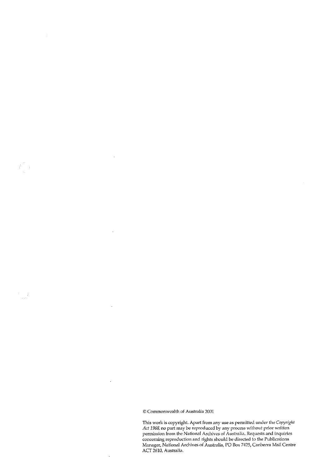©Commonwealth of Australia 2001

 $\ddot{\phantom{a}}$ 

 $\hat{\mathbf{r}}$ 

 $\ddot{\phantom{1}}$ 

 $\hat{\mathcal{A}}$ 

 $\cdot$ 

 $\begin{array}{c} \left( 1-\frac{1}{2}\right) \\ \left( 1-\frac{1}{2}\right) \end{array}$ 

This work is copyright. Apart from any use as permitted under the *Copyright* Act 1968, no part may be reproduced by any process without prior written permission from the National Archives of Australia. Requests and inquiries concerning reproduction and rights should be directed to the Publications Manager, National Archives of Australia, PO Box 7425, Canberra Mail Centre ACT 2610, Australia.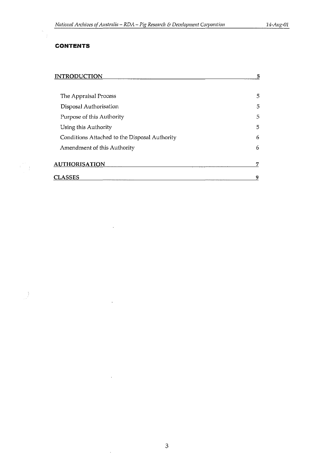### **CONTENTS**

 $\frac{1}{2}$ 

 $\begin{array}{c} \mathcal{D} \\ \mathcal{F} \\ \mathcal{F} \end{array}$ 

 $\frac{1}{2}$ 

| <b>INTRODUCTION</b>                           | 5 |
|-----------------------------------------------|---|
|                                               |   |
| The Appraisal Process                         | 5 |
| Disposal Authorisation                        | 5 |
| Purpose of this Authority                     | 5 |
| Using this Authority                          | 5 |
| Conditions Attached to the Disposal Authority | 6 |
| Amendment of this Authority                   | 6 |
| <b>AUTHORISATION</b>                          | 7 |
| <b>CLASSES</b>                                | 9 |

 $\ddot{\phantom{a}}$ 

 $\ddot{\phantom{a}}$ 

 $\ddot{\phantom{1}}$ 

 $\mathcal{A}$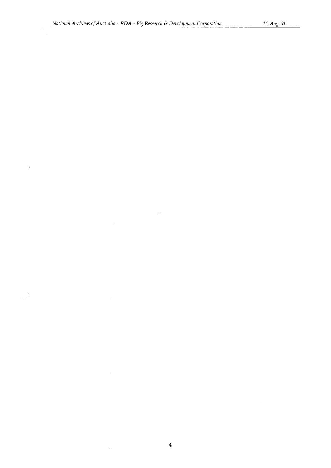$\begin{pmatrix} 1 & 0 \\ 0 & 1 \end{pmatrix}$ 

 $\frac{1}{2}$ 

 $\ddot{\phantom{0}}$ 

 $\ddot{\phantom{a}}$ 

 $\ddot{\phantom{a}}$ 

 $\ddot{\phantom{0}}$ 

 $\sim 10^{-10}$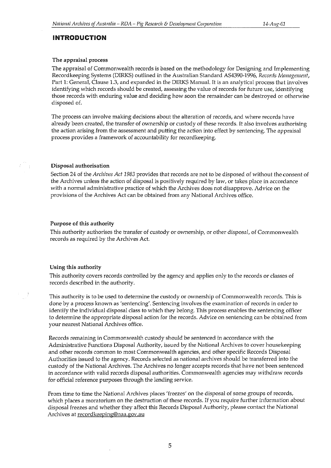# **INTRODUCTION**

#### **The** appraisal process

The appraisal of Commonwealth records is based on the methodology for Designing and Implementing Recordkeeping Systems (DIRKS) outlined in the Australian Standard AS4390-1996, *Records Management,*  Part 1: General, Clause 1.3, and expanded in the DIRKS Manual. It is an analytical process that involves identifying which records should be created, assessing the value of records for future use, identifying those records with enduring value and deciding how soon the remainder can be destroyed or otherwise disposed of.

The process can involve making decisions about the alteration of records, and where records have already been created, the transfer of ownership or custody of these records. It also involves authorising the action arising from the assessment and putting the action into effect by sentencing. The appraisal process provides a framework of accountability for recordkeeping.

#### Disposal authorisation

Section 24 of the *Archives Act 1983* provides that records are not to be disposed of without the consent of the Archives unless the action of disposal is positively required by law, or takes place in accordance with a normal administrative practice of which the Archives does not disapprove. Advice on the provisions of the Archives Act can be obtained from any National Archives office.

### Purpose of this authority

This authority authorises the transfer of custody or ownership, or other disposal, of Commonwealth records as required by the Archives Act.

#### Using this authority

This authority covers records controlled by the agency and applies only to the records or classes of records described in the authority.

This authority is to be used to determine the custody or ownership of Commonwealth records. This is done by a process known as 'sentencing'. Sentencing involves the examination of records in order to identify the individual disposal class to which they belong. This process enables the sentencing officer to determine the appropriate disposal action for the records. Advice on sentencing can be obtained from your nearest National Archives office.

Records remaining in Commonwealth custody should be sentenced in accordance with the Administrative Functions Disposal Authority, issued by the National Archives to cover housekeeping and other records common to most Commonwealth agencies, and other specific Records Disposal Authorities issued to the agency. Records selected as national archives should be transferred into the custody of the National Archives. The Archives no longer accepts records that have not been sentenced in accordance with valid records disposal authorities. Commonwealth agencies may withdraw records for official reference purposes through the lending service.

From time to time the National Archives places 'freezes' on the disposal of some groups of records, which places a moratorium on the destruction of these records. If you require further information about disposal freezes and whether they affect this Records Disposal Authority, please contact the National **Archives at recordkeeping@naa.gov.au**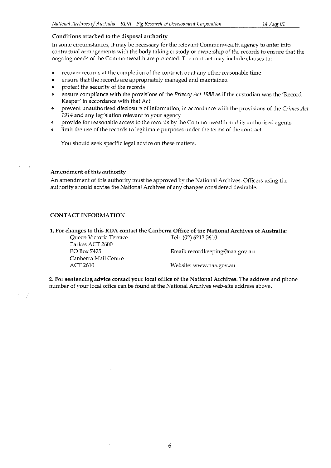#### Conditions attached to the disposal authority

In some circumstances, it may be necessary for the relevant Commonwealth agency to enter into contractual arrangements with the body taking custody or ownership of the records to ensure that the ongoing needs of the Commonwealth are protected. The contract may include clauses to:

- recover records at the completion of the contract, or at any other reasonable time
- ensure that the records are appropriately managed and maintained
- protect the security of the records
- ensure compliance with the provisions of the *Privacy Act* 1988 as if the custodian was the 'Record Keeper' in accordance with that Act
- prevent unauthorised disclosure of information, in accordance with the provisions of the *Crimes Act*  1914 and any legislation relevant to your agency
- provide for reasonable access to the records by the Commonwealth and its authorised agents
- limit the use of the records to legitimate purposes under the terms of the contract

You should seek specific legal advice on these matters.

#### Amendment of this authority

An amendment of this authority must be approved by the National Archives. Officers using the authority should advise the National Archives of any changes considered desirable.

### CONTACT INFORMATION

# 1. For changes to this RDA contact the Canberra Office of the National Archives of Australia:

Queen Victoria Terrace Tel: (02) 6212 3610 Parkes ACT 2600 Canberra Mail Centre

PO Box 7425 **Email:** recordkeeping@naa.gov.au

ACT 2610 Website: www.naa.gov.au

2. For sentencing advice contact your local office of the National Archives. The address and phone number of your local office can be found at the National Archives web-site address above.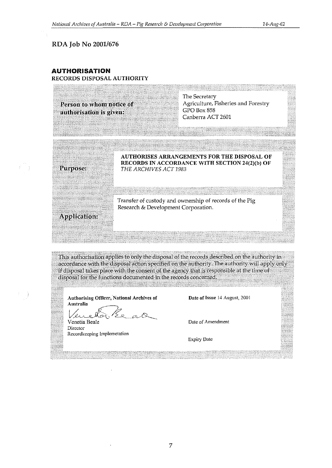# **RDA Job** No 2001/676

# **AUTHORISATION**

RECORDS DISPOSAL AUTHORITY

<u> Primeira de la propia de la propia de la propia de la propia de la propia de la propia de la propia de la pro</u>

| Person to whom notice of<br>authorisation is given: |                                     | The Secretary<br>Agriculture, Fisheries and Forestry<br>GPO Box 858<br>Canberra ACT 2601             |
|-----------------------------------------------------|-------------------------------------|------------------------------------------------------------------------------------------------------|
| <b>Purpose:</b>                                     | THE ARCHIVES ACT 1983               | <b>AUTHORISES ARRANGEMENTS FOR THE DISPOSAL OF</b><br>RECORDS IN ACCORDANCE WITH SECTION 24(2)(b) OF |
| Application:                                        | Research & Development Corporation. | Transfer of custody and ownership of records of the Pig                                              |

This authorisation applies to only the disposal of the records described on the authority in accordance with the disposal action specified on the authority. The authority will apply only if disposal takes place with the consent of the agency that is responsible at the time of disposal for the functions documented in the records concerned.

**Authorising Officer,** "Nattonul **Archives of Australia** 

 $\frac{1}{\sqrt{2\pi}}\int_{\mathcal{C}}\vec{E}\vec{E}$ Venetia Beale

**Director**  Recordkeeping Implemetation

 $\hat{z}$ 

Date of Issue 14 August, 2001

**Date of Amendment** 

**Expiry Date**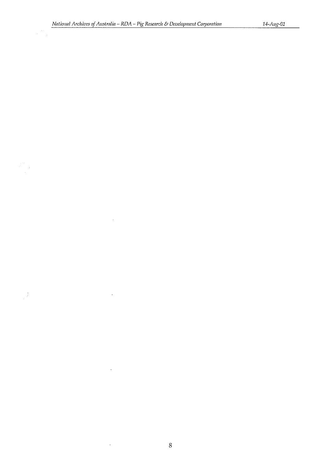$\ddot{\phantom{a}}$ 

 $\ddot{\phantom{a}}$ 

 $\ddot{\phantom{0}}$ 

 $\mathcal{A}^{\mathcal{A}}$ 

 $\bar{\alpha}$ 

 $\label{eq:2} \begin{aligned} \mathcal{L}_{\text{max}}^{(2)} = \mathbb{E} \left[ \begin{array}{c} \mathcal{L}_{\text{max}}^{(2)} \\ \mathcal{L}_{\text{max}}^{(2)} \end{array} \right] \end{aligned}$ 

 $\frac{1}{2}$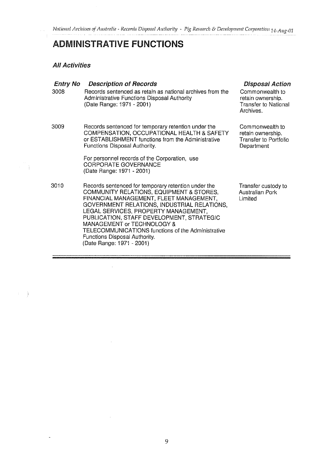# ADMINISTRATIVE **FUNCTIONS**

 $\ddot{\phantom{0}}$ 

 $\sim$ 

 $\left\{ \begin{array}{cc} 1 & 0 \\ 0 & 0 \end{array} \right\}$ 

 $\bar{\omega}$ 

# **All Activities**

| <b>Entry No</b><br>3008 | <b>Description of Records</b><br>Records sentenced as retain as national archives from the<br>Administrative Functions Disposal Authority<br>(Date Range: 1971 - 2001)                                                                                                                                                                                                                                                           | <b>Disposal Action</b><br>Commonwealth to<br>retain ownership.<br>Transfer to National<br>Archives. |
|-------------------------|----------------------------------------------------------------------------------------------------------------------------------------------------------------------------------------------------------------------------------------------------------------------------------------------------------------------------------------------------------------------------------------------------------------------------------|-----------------------------------------------------------------------------------------------------|
| 3009                    | Records sentenced for temporary retention under the<br>COMPENSATION, OCCUPATIONAL HEALTH & SAFETY<br>or ESTABLISHMENT functions from the Administrative<br>Functions Disposal Authority.<br>For personnel records of the Corporation, use<br><b>CORPORATE GOVERNANCE</b><br>(Date Range: 1971 - 2001)                                                                                                                            | Commonwealth to<br>retain ownership.<br>Transfer to Portfolio<br>Department                         |
| 3010                    | Records sentenced for temporary retention under the<br>COMMUNITY RELATIONS, EQUIPMENT & STORES,<br>FINANCIAL MANAGEMENT, FLEET MANAGEMENT,<br>GOVERNMENT RELATIONS, INDUSTRIAL RELATIONS,<br>LEGAL SERVICES, PROPERTY MANAGEMENT,<br>PUBLICATION, STAFF DEVELOPMENT, STRATEGIC<br>MANAGEMENT or TECHNOLOGY &<br>TELECOMMUNICATIONS functions of the Administrative<br>Functions Disposal Authority.<br>(Date Range: 1971 - 2001) | Transfer custody to<br>Australian Pork<br>Limited                                                   |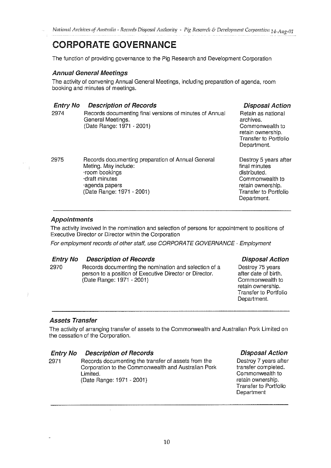# **CORPORATE GOVERNANCE**

The function of providing governance to the Pig Research and Development Corporation

# **Annual General Meetings**

The activity of convening Annual General Meetings, including preparation of agenda, room booking and minutes of meetings.

| <b>Entry No</b><br>2974 | <b>Description of Records</b><br>Records documenting final versions of minutes of Annual<br>General Meetings.<br>(Date Range: 1971 - 2001)                | Disposal Action<br>Retain as national<br>archives.<br>Commonwealth to<br>retain ownership.<br>Transfer to Portfolio<br>Department.            |
|-------------------------|-----------------------------------------------------------------------------------------------------------------------------------------------------------|-----------------------------------------------------------------------------------------------------------------------------------------------|
| 2975                    | Records documenting preparation of Annual General<br>Meting. May include:<br>room bookings<br>draft minutes<br>agenda papers<br>(Date Range: 1971 - 2001) | Destroy 5 years after<br>final minutes<br>distributed.<br>Commonwealth to<br>retain ownership.<br><b>Transfer to Portfolio</b><br>Department. |

# **Appointments**

The activity involved in the nomination and selection of persons for appointment to positions of Executive Director or Director within the Corporation

**For** employment records of other staff, use CORPORATE GOVERNANCE - Employment

| <b>Entry No</b> |  | <b>Description of Records</b> |
|-----------------|--|-------------------------------|
|-----------------|--|-------------------------------|

2970 Records documenting the nomination and selection of a Destroy 75 years<br>person to a position of Executive Director or Director. after date of birth. person to a position of Executive Director or Director. after date of birth.<br>(Date Range: 1971 - 2001) Commonwealth to (Date Range: 1971 - 2001)

### **Disposal Action**

retain ownership. Transfer to Portfolio Department.

### **Assets Transfer**

The activity of arranging transfer of assets to the Commonwealth and Australian Pork Limited on the cessation of the Corporation.

| Entry No | <b>Description of Records</b>                                                                                                                       |
|----------|-----------------------------------------------------------------------------------------------------------------------------------------------------|
| 2971     | Records documenting the transfer of assets from the<br>Corporation to the Commonwealth and Australian Pork<br>Limited.<br>(Date Range: 1971 - 2001) |

 $\mathcal{L}$ 

**Disposal Action** 

Destroy 7 years after transfer completed. Commonwealth to retain ownership. Transfer to Portfolio **Department**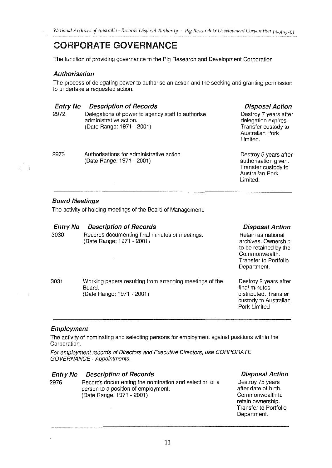# CORPORATE **GOVERNANCE**

The function of providing governance to the Pig Research and Development Corporation

# **Authorisation**

The process of delegating power to authorise an action and the seeking and granting permission to undertake a requested action.

| <b>Entry No</b> | <b>Description of Records</b>                                                                            | <b>Disposal Action</b>                                                                              |
|-----------------|----------------------------------------------------------------------------------------------------------|-----------------------------------------------------------------------------------------------------|
| 2972            | Delegations of power to agency staff to authorise<br>administrative action.<br>(Date Range: 1971 - 2001) | Destroy 7 years after<br>delegation expires.<br>Transfer custody to<br>Australian Pork<br>Limited.  |
| 2973            | Authorisations for administrative action<br>(Date Range: 1971 - 2001)                                    | Destroy 5 years after<br>authorisation given.<br>Transfer custody to<br>Australian Pork<br>Limited. |

# **Board Meetings**

 $\frac{1}{2}$  ). ţ.

 $\langle \rangle$  $\alpha$ 

The activity of holding meetings of the Board of Management.

| <b>Entry No</b><br>3030 | <b>Description of Records</b><br>Records documenting final minutes of meetings.<br>(Date Range: 1971 - 2001) | Disposal Action<br>Retain as national<br>archives. Ownership<br>to be retained by the<br>Commonwealth.<br>Transfer to Portfolio<br>Department. |
|-------------------------|--------------------------------------------------------------------------------------------------------------|------------------------------------------------------------------------------------------------------------------------------------------------|
| 3031                    | Working papers resulting from arranging meetings of the<br>Board.<br>(Date Range: 1971 - 2001)               | Destroy 2 years after<br>final minutes<br>distributed. Transfer<br>custody to Australian<br>Pork Limited                                       |

# **Employment**

The activity of nominating and selecting persons for employment against positions within the Corporation.

For employment records of Directors and Executive Directors, use CORPORA TE GOVERNANCE - Appointments.

| Entry No | <b>Description of Records</b>                                                                                             |                                          |
|----------|---------------------------------------------------------------------------------------------------------------------------|------------------------------------------|
| 2976     | Records documenting the nomination and selection of a<br>person to a position of employment.<br>(Date Range: 1971 - 2001) | De:<br>afte<br>Col<br>reta<br>Tra<br>Dei |
|          |                                                                                                                           |                                          |

# **isposal Action**

stroy 75 years er date of birth. mmonwealth to ain ownership. Transfer to Portfolio Department.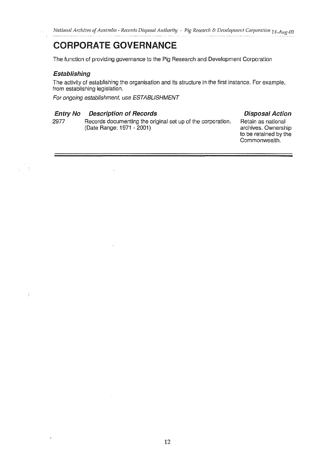# CORPORATE GOVERNANCE

The function of providing governance to the Pig Research and Development Corporation

## **Establishing**

The activity of establishing the organisation and its structure in the first instance. For example, from estabiishing legisiation.

For ongoing establishment, use ESTABLISHMENT

## **Entry No Description of Records Contract Contract Disposal Action Action**

 $\sim 3$ 

2977 Records documenting the original set up of the corporation. Retain as national (Date Range: 1971 - 2001)

to be retained by the Commonweaith.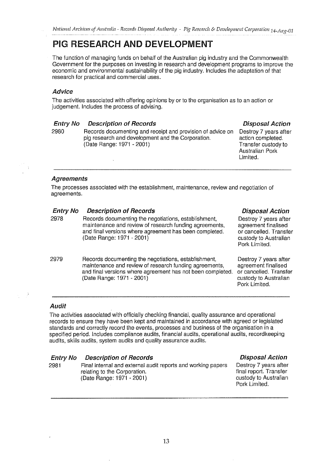The function of managing funds on behalf of the Australian pig industry and the Commonwealth Government for the purposes on Investing in research and development programs to improve the economic and environmental sustainability of the pig industry. Includes the adaptation of that research for practical and commercial uses.

## **Advice**

The activities associated with offering opinions by or to the organisation as to an action or judgement. Includes the process of advising.

| <b>Entry No</b> | <b>Description of Records</b> |  |
|-----------------|-------------------------------|--|
|-----------------|-------------------------------|--|

 $\ddot{\phantom{1}}$ 

2980 Records documenting and receipt and provision of advice on Destroy 7 years after<br>pig research and development and the Corporation. action completed. pig research and development and the Corporation. action completed.<br>(Date Range: 1971 - 2001) Transfer custody to (Date Range: 1971 - 2001)

# **Disposal Action**

Australian Pork Limited.

## **Agreements**

The processes associated with the establishment, maintenance, review and negotiation of agreements.

| <b>Entry No</b> | <b>Description of Records</b>                                                                                                                                                                             | <b>Disposal Action</b>                                                                                           |
|-----------------|-----------------------------------------------------------------------------------------------------------------------------------------------------------------------------------------------------------|------------------------------------------------------------------------------------------------------------------|
| 2978            | Records documenting the negotiations, establishment,<br>maintenance and review of research funding agreements,<br>and final versions where agreement has been completed.<br>(Date Range: 1971 - 2001)     | Destroy 7 years after<br>agreement finalised<br>or cancelled. Transfer<br>custody to Australian<br>Pork Limited. |
| 2979            | Records documenting the negotiations, establishment,<br>maintenance and review of research funding agreements,<br>and final versions where agreement has not been completed.<br>(Date Range: 1971 - 2001) | Destroy 7 years after<br>agreement finalised<br>or cancelled. Transfer<br>custody to Australian<br>Pork Limited. |

### **Audit**

 $\beta^{\rm I}$ 

The activities associated with officially checking financial, quality assurance and operational records to ensure they have been kept and maintained in accordance with agreed or legislated standards and correctly record the events, processes and business of the organisation in a specified period. Includes compliance audits, financial audits, operational audits, recordkeeping audits, skills audits, system audits and quality assurance audits.

| <b>Entry No</b> | <b>Description of Records</b>                                | <b>Disposal Action</b> |
|-----------------|--------------------------------------------------------------|------------------------|
| 2981            | Final internal and external audit reports and working papers | Destroy 7 years after  |
|                 | relating to the Corporation.                                 | final report. Transfer |
|                 | (Date Range: 1971 - 2001)                                    | custody to Australian  |
|                 |                                                              | Pork Limited.          |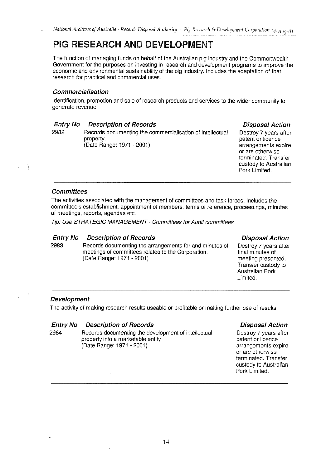The function of managing funds on behalf of the Australian pig industry and the Commonwealth Government for the purposes on investing in research and development programs to improve the economic and environmental sustainability of the pig industry. Includes the adaptation of that research for practicai and commercial uses.

### **Commercialisation**

Identification, promotion and sale of research products and services to the wider community to generate revenue.

# **Entry No Description of Records Contract Contract Disposal Action Contract Property**

2982 Records documenting the commercialisation of intellectual Destroy 7 years after (Date Range: 1971 - 2001) arrangements expire

patent or licence or are otherwise terminated. Transfer custody to Australian Pork Limited.

## **Committees**

The activities associated with the management of committees and task forces. Includes the committee's establishment, appointment of members, terms of reference, proceedings, minutes of meetings, reports, agendas etc.

Tip: Use STRATEGIC MANAGEMENT - Committees for Audit committees

### **Entry No Description of Records Contract Contract Disposal Action Action**

2983 Records documenting the arrangements for and minutes of Destroy 7 years after<br>meetings of committees related to the Corporation. Final minutes of meetings of committees related to the Corporation. (Date Range: 1971 - 2001) meeting presented.

Transfer custody to Australian Pork Limited.

# **Development**

The activity of making research results useable or profitable or making further use of results.

### **Entry No** Description of Records **Disposal Action**

2984 Records documenting the development of intellectual Destroy 7 years after<br>property into a marketable entity property into a marketable entity<br>
(Date Range: 1971 - 2001)<br>
patent or licence<br>
arrangements expire (Date Range: 1971 - 2001)

or are otherwise terminated. Transfer custody to Australian Pork Limited.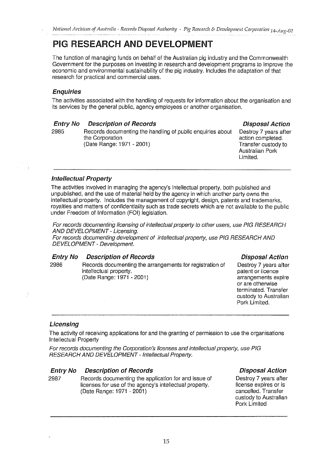The function of managing funds on behaif of the Austraiian pig industry and the Commonwealth Government for the purposes on investing in research and deveiopment programs to improve the economic and environmentai sustainability of the pig industry. Includes the adaptation of that research for practical and commerciai uses.

# **Enquiries**

The activities associated with the handling of requests for information about the organisation and its services by the general public, agency employees or another organisation.

| Entry No | <b>Description of Records</b>                                                                              | <b>Disposal Action</b>                                            |
|----------|------------------------------------------------------------------------------------------------------------|-------------------------------------------------------------------|
| 2985     | Records documenting the handling of public enquiries about<br>the Corporation<br>(Date Range: 1971 - 2001) | Destroy 7 years after<br>action completed.<br>Transfer custody to |

Australian Pork Limited.

 $^{\circ}$ 

# **Intellectual Property**

The activities involved in managing the agency's intellectual property, both published and unpublished, and the use of material held by the agency in which another party owns the intellectual property. Includes the management of copyright, design, patents and trademarks, royalties and matters of confidentiality such as trade secrets which are not available to the public under Freedom of Information (FOI) legislation.

For records documenting licensing of intellectual property to other users, use PIG RESEARCH AND DEVELOPMENT - Licensing.

For records documenting development of intellectual property, use PIG RESEARCH AND DEVELOPMENT - Development.

# Entry No **Description of Records Disposal Action**

 $\bar{a}$ 

2986 Records documenting the arrangements for registration of Destroy 7 years after<br>intellectual property. intellectual property. (Date Range: 1971 - 2001) arrangements expire

or are otherwise terminated. Transfer custody to Australian Pork Limited.

# **Licensing**

The activity of receiving applications for and the granting of permission to use the organisations Intellectual Property

For records documenting the Corporation's licenses and intellectual property, use PIG RESEARCH AND DEVELOPMENT - Intellectual Property.

### Entry No **Description of Records Disposal Action**

2987 Records documenting the application for and issue of Destroy 7 years after<br>licenses for use of the agency's intellectual property. license expires or is licenses for use of the agency's intellectual property. license expires or is (Date Range: 1971 - 2001) (Date Range: 1971 - 2001)

custody to Australian Pork Limited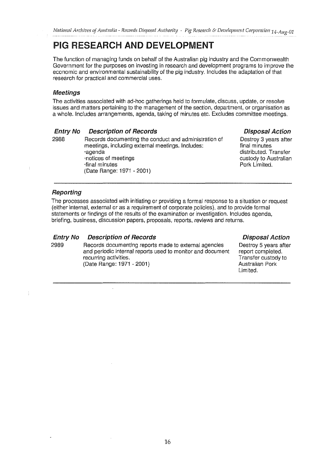The function of managing funds on behalf of the Australian pig industry and the Commonwealth Government for the purposes on investing in research and development programs to Improve the economic and environmental sustainability of the pig industry. Includes the adaptation of that research for practical and commercial uses.

# **Meetings**

The activities associated with ad-hoc gatherings held to formulate, discuss, update, or resolve issues and matters pertaining to the management of the section, department, or organisation as a whole. Includes arrangements, agenda, taking of minutes etc. Excludes committee meetings.

| <b>Entry No</b> | <b>Description of Records</b>                                                                                                                                                            | <b>Disposal Action</b>                                                                                    |
|-----------------|------------------------------------------------------------------------------------------------------------------------------------------------------------------------------------------|-----------------------------------------------------------------------------------------------------------|
| 2988            | Records documenting the conduct and administration of<br>meetings, including external meetings. Includes:<br>aqenda<br>notices of meetings<br>final minutes<br>(Date Range: 1971 - 2001) | Destroy 3 years after<br>final minutes<br>distributed. Transfer<br>custody to Australian<br>Pork Limited. |

### **Reporting**

The processes associated with initiating or providing a formal response to a situation or request (either internal, external or as a requirement of corporate policies), and to provide formal statements or findings of-the results of the examination or investigation. Includes agenda, briefing, business, discussion papers, proposals, reports, reviews and returns.

### Entry No **Description of Records Disposal Action**

 $\overline{a}$ 

2989 Records documenting reports made to external agencies Destroy 5 years after and periodic internal reports used to monitor and document report completed. recurring activities. Transfer custody to (Date Range: 1971 - 2001) (Date Range: 1971 - 2001)

Limited.